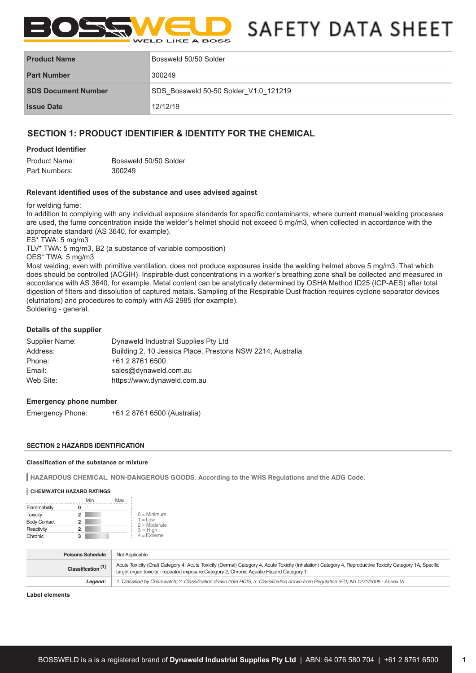

# SAFETY DATA SHEET

| <b>Product Name</b>        | Bossweld 50/50 Solder                 |
|----------------------------|---------------------------------------|
| <b>Part Number</b>         | 300249                                |
| <b>SDS Document Number</b> | SDS Bossweld 50-50 Solder V1.0 121219 |
| <b>Issue Date</b>          | 12/12/19                              |

# **SECTION 1: PRODUCT IDENTIFIER & IDENTITY FOR THE CHEMICAL**

# **Product Identifier**

| Product Name: | Bossweld 50/50 Solder |
|---------------|-----------------------|
| Part Numbers: | 300249                |

# **Relevant identified uses of the substance and uses advised against**

**Release of the substance of the substance of the substance or mixture and uses advised against the substance of the substance of the substance of the substance of the substance of the substance of the substance of the sub** 

In addition to complying with any individual exposure standards for specific contaminants, where current manual welding processes are used, the fume concentration inside the welder's helmet should not exceed 5 mg/m3, when collected in accordance with the appropriate standard (AS 3640, for example). concentration inside the welder's helmet **should not** exceed 5 mg/m3, when collected in accordance with the appropriate standard (AS 3640, for example).

ES\* TWA: 5 mg/m3

TLV\* TWA: 5 mg/m3, B2 (a substance of variable composition)

OES\* TWA: 5 mg/m3

Most welding, even with primitive ventilation, does not produce exposures inside the welding helmet above 5 mg/m3. That which does should be controlled (ACGIH). Inspirable dust concentrations in a worker's breathing zone shall be collected and measured in accordance with AS 3640, for example. Metal content can be analytically determined by OSHA Method ID25 (ICP-AES) after total digestion of filters and dissolution of captured metals. Sampling of the Respirable Dust fraction requires cyclone separator devices (elutriators) and procedures to comply with AS 2985 (for example). Soldering - general. intive veritiiation, does not produce exposures inside the weiding neimet above 5 mg/mp. That which

# Details of the supplier

| Supplier Name: | Dynaweld Industrial Supplies Pty Ltd                       |
|----------------|------------------------------------------------------------|
| Address:       | Building 2, 10 Jessica Place, Prestons NSW 2214, Australia |
| Phone:         | +61 2 8761 6500                                            |
| Email:         | sales@dynaweld.com.au                                      |
| Web Site:      | https://www.dynaweld.com.au                                |

# **Emergency phone number Emergency telephone numbers (03) 8301 7107 (Business hours 9am – 5pm)**

Emergency Phone:  $+61$  2 8761 6500 (Australia) **Emergency Phone:** 

# **SECTION 2 HAZARDS IDENTIFICATION**

# **Classification of the substance or mixture**

**HAZARDOUS CHEMICAL. NON-DANGEROUS GOODS. According to the WHS Regulations and the ADG Code.**

## **CHEMWATCH HAZARD RATINGS**

|                     | Min | Max |                              |
|---------------------|-----|-----|------------------------------|
| Flammability        |     |     |                              |
| <b>Toxicity</b>     | 2   |     | $0 =$ Minimum                |
| <b>Body Contact</b> | 2   |     | $1 = L$ ow<br>$2 =$ Moderate |
| Reactivity          | 2   |     | $3 = High$                   |
| Chronic             | 3   |     | $4 = Ex$ freme               |

| <b>Poisons Schedule</b>       | Not Applicable                                                                                                                                                                                                                                       |
|-------------------------------|------------------------------------------------------------------------------------------------------------------------------------------------------------------------------------------------------------------------------------------------------|
| Classification <sup>[1]</sup> | Acute Toxicity (Oral) Category 4, Acute Toxicity (Dermal) Category 4, Acute Toxicity (Inhalation) Category 4, Reproductive Toxicity Category 1A, Specific<br>target organ toxicity - repeated exposure Category 2, Chronic Aguatic Hazard Category 1 |
| Leaend:                       | 1. Classified by Chemwatch; 2. Classification drawn from HCIS; 3. Classification drawn from Regulation (EU) No 1272/2008 - Annex VI                                                                                                                  |

#### **Label elements**

**Continued...**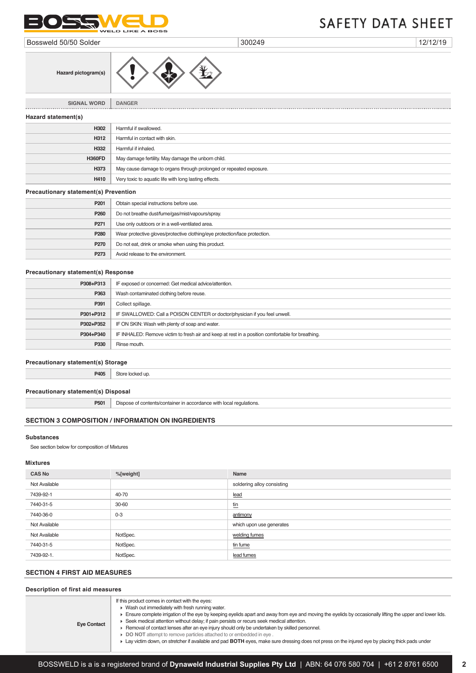

Issue Date: **19/09/2018** Print Date: **26/06/2019**

Bossweld 50/50 Solder 300249 12/12/19

**Hazard statement(s)**

**Hazard pictogram(s)**

**SIGNAL WORD DANGER**

**H302** Harmful if swallowed. **H312** Harmful in contact with skin. **H332** Harmful if inhaled.

**H360FD** May damage fertility. May damage the unborn child.

**H410** Very toxic to aquatic life with long lasting effects.

**P201** Obtain special instructions before use. **P260** Do not breathe dust/fume/gas/mist/vapours/spray.

**H373** May cause damage to organs through prolonged or repeated exposure.

# **P271** Use only outdoors or in a well-ventilated area. **P280** Wear protective gloves/protective clothing/eye protection/face protection. **P270** Do not eat, drink or smoke when using this product. **P273** Avoid release to the environment.

#### **Precautionary statement(s) Response**

**Precautionary statement(s) Prevention**

| P308+P313 | IF exposed or concerned: Get medical advice/attention.                                           |
|-----------|--------------------------------------------------------------------------------------------------|
| P363      | Wash contaminated clothing before reuse.                                                         |
| P391      | Collect spillage.                                                                                |
| P301+P312 | IF SWALLOWED: Call a POISON CENTER or doctor/physician if you feel unwell.                       |
| P302+P352 | IF ON SKIN: Wash with plenty of soap and water.                                                  |
| P304+P340 | IF INHALED: Remove victim to fresh air and keep at rest in a position comfortable for breathing. |
| P330      | Rinse mouth.                                                                                     |

## **Precautionary statement(s) Storage**

**P405** Store locked up.

**Precautionary statement(s) Disposal**

**P501** Dispose of contents/container in accordance with local regulations.

# **SECTION 3 COMPOSITION / INFORMATION ON INGREDIENTS**

#### **Substances**

See section below for composition of Mixtures

# **Mixtures**

| <b>CAS No</b> | %[weight] | Name                       |
|---------------|-----------|----------------------------|
| Not Available |           | soldering alloy consisting |
| 7439-92-1     | 40-70     | lead                       |
| 7440-31-5     | 30-60     | <u>tin</u>                 |
| 7440-36-0     | $0 - 3$   | antimony                   |
| Not Available |           | which upon use generates   |
| Not Available | NotSpec.  | welding fumes              |
| 7440-31-5     | NotSpec.  | tin fume                   |
| 7439-92-1.    | NotSpec.  | lead fumes                 |

# **SECTION 4 FIRST AID MEASURES**

## **Description of first aid measures**

| <b>Eye Contact</b> | If this product comes in contact with the eyes:<br>• Wash out immediately with fresh running water.<br>Ensure complete irrigation of the eye by keeping eyelids apart and away from eye and moving the eyelids by occasionally lifting the upper and lower lids.<br>► Seek medical attention without delay; if pain persists or recurs seek medical attention.<br>F Removal of contact lenses after an eye injury should only be undertaken by skilled personnel.<br>▶ DO NOT attempt to remove particles attached to or embedded in eye.<br>► Lay victim down, on stretcher if available and pad BOTH eyes, make sure dressing does not press on the injured eye by placing thick pads under |
|--------------------|-----------------------------------------------------------------------------------------------------------------------------------------------------------------------------------------------------------------------------------------------------------------------------------------------------------------------------------------------------------------------------------------------------------------------------------------------------------------------------------------------------------------------------------------------------------------------------------------------------------------------------------------------------------------------------------------------|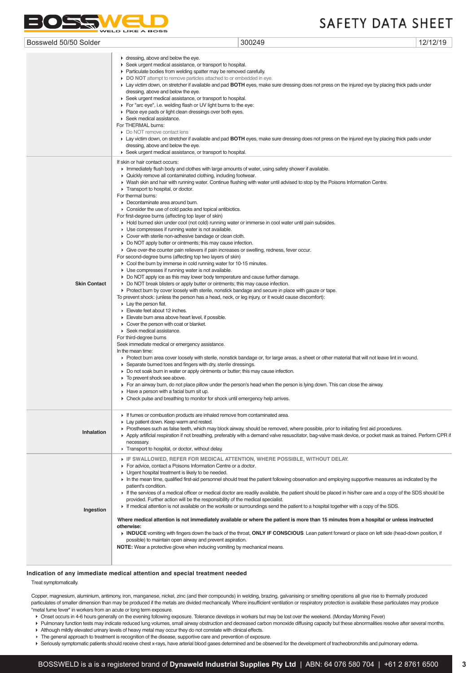#### Chemwatch: **21160** Version No: **6.1.1.1 Consolidated Alloys Tin/Lead Solders ? Medium Grade**

 $\mathcal{L}$   $\mathcal{L}$ Print Date: **26/06/2019**

| Bossweld 50/50 Solder |                                                                                                                                                                                                                                                                                                                                                                                                                                                                                                                                                                                                                                                                                                                                                                                                                                                                                                                                                                                                                                                                                                                                                                                                                                                                                                                                                                                                                                                                                                                                                                                                                                                                                                                                                                                                                                                                                                                                                                                                                                                                                   | 300249                                                                                                                                                                                                                                                                                                                                                                                                            | 12/12/19 |
|-----------------------|-----------------------------------------------------------------------------------------------------------------------------------------------------------------------------------------------------------------------------------------------------------------------------------------------------------------------------------------------------------------------------------------------------------------------------------------------------------------------------------------------------------------------------------------------------------------------------------------------------------------------------------------------------------------------------------------------------------------------------------------------------------------------------------------------------------------------------------------------------------------------------------------------------------------------------------------------------------------------------------------------------------------------------------------------------------------------------------------------------------------------------------------------------------------------------------------------------------------------------------------------------------------------------------------------------------------------------------------------------------------------------------------------------------------------------------------------------------------------------------------------------------------------------------------------------------------------------------------------------------------------------------------------------------------------------------------------------------------------------------------------------------------------------------------------------------------------------------------------------------------------------------------------------------------------------------------------------------------------------------------------------------------------------------------------------------------------------------|-------------------------------------------------------------------------------------------------------------------------------------------------------------------------------------------------------------------------------------------------------------------------------------------------------------------------------------------------------------------------------------------------------------------|----------|
|                       | • dressing, above and below the eye.<br>► Seek urgent medical assistance, or transport to hospital.<br>• Particulate bodies from welding spatter may be removed carefully.<br>• DO NOT attempt to remove particles attached to or embedded in eye.<br>dressing, above and below the eye.<br>► Seek urgent medical assistance, or transport to hospital.<br>For "arc eye", i.e. welding flash or UV light burns to the eye:<br>• Place eye pads or light clean dressings over both eyes.<br>▶ Seek medical assistance.<br>For THERMAL burns:<br>• Do NOT remove contact lens<br>dressing, above and below the eye.<br>▶ Seek urgent medical assistance, or transport to hospital.                                                                                                                                                                                                                                                                                                                                                                                                                                                                                                                                                                                                                                                                                                                                                                                                                                                                                                                                                                                                                                                                                                                                                                                                                                                                                                                                                                                                  | ► Lay victim down, on stretcher if available and pad BOTH eyes, make sure dressing does not press on the injured eye by placing thick pads under<br>► Lay victim down, on stretcher if available and pad BOTH eyes, make sure dressing does not press on the injured eye by placing thick pads under                                                                                                              |          |
| <b>Skin Contact</b>   | If skin or hair contact occurs:<br>Immediately flush body and clothes with large amounts of water, using safety shower if available.<br>• Quickly remove all contaminated clothing, including footwear.<br>Transport to hospital, or doctor.<br>For thermal burns:<br>• Decontaminate area around burn.<br>• Consider the use of cold packs and topical antibiotics.<br>For first-degree burns (affecting top layer of skin)<br>► Hold burned skin under cool (not cold) running water or immerse in cool water until pain subsides.<br>• Use compresses if running water is not available.<br>• Cover with sterile non-adhesive bandage or clean cloth.<br>• Do NOT apply butter or ointments; this may cause infection.<br>► Give over-the counter pain relievers if pain increases or swelling, redness, fever occur.<br>For second-degree burns (affecting top two layers of skin)<br>► Cool the burn by immerse in cold running water for 10-15 minutes.<br>• Use compresses if running water is not available.<br>► Do NOT apply ice as this may lower body temperature and cause further damage.<br>• Do NOT break blisters or apply butter or ointments; this may cause infection.<br>► Protect burn by cover loosely with sterile, nonstick bandage and secure in place with gauze or tape.<br>To prevent shock: (unless the person has a head, neck, or leg injury, or it would cause discomfort):<br>$\triangleright$ Lay the person flat.<br>Elevate feet about 12 inches.<br>Elevate burn area above heart level, if possible.<br>$\triangleright$ Cover the person with coat or blanket.<br>▶ Seek medical assistance.<br>For third-degree burns<br>Seek immediate medical or emergency assistance.<br>In the mean time:<br>Separate burned toes and fingers with dry, sterile dressings.<br>► Do not soak burn in water or apply ointments or butter; this may cause infection.<br>• To prevent shock see above.<br>$\blacktriangleright$ Have a person with a facial burn sit up.<br>Check pulse and breathing to monitor for shock until emergency help arrives. | > Wash skin and hair with running water. Continue flushing with water until advised to stop by the Poisons Information Centre.<br>▶ Protect burn area cover loosely with sterile, nonstick bandage or, for large areas, a sheet or other material that will not leave lint in wound.<br>For an airway burn, do not place pillow under the person's head when the person is lying down. This can close the airway. |          |
| Inhalation            | • If fumes or combustion products are inhaled remove from contaminated area.<br>Lay patient down. Keep warm and rested.<br>necessary.<br>Transport to hospital, or doctor, without delay.                                                                                                                                                                                                                                                                                                                                                                                                                                                                                                                                                                                                                                                                                                                                                                                                                                                                                                                                                                                                                                                                                                                                                                                                                                                                                                                                                                                                                                                                                                                                                                                                                                                                                                                                                                                                                                                                                         | ▶ Prostheses such as false teeth, which may block airway, should be removed, where possible, prior to initiating first aid procedures.<br>Apply artificial respiration if not breathing, preferably with a demand valve resuscitator, bag-valve mask device, or pocket mask as trained. Perform CPR i                                                                                                             |          |
|                       | IF SWALLOWED, REFER FOR MEDICAL ATTENTION, WHERE POSSIBLE, WITHOUT DELAY.<br>For advice, contact a Poisons Information Centre or a doctor.<br>• Urgent hospital treatment is likely to be needed.                                                                                                                                                                                                                                                                                                                                                                                                                                                                                                                                                                                                                                                                                                                                                                                                                                                                                                                                                                                                                                                                                                                                                                                                                                                                                                                                                                                                                                                                                                                                                                                                                                                                                                                                                                                                                                                                                 |                                                                                                                                                                                                                                                                                                                                                                                                                   |          |

In the mean time, qualified first-aid personnel should treat the patient following observation and employing supportive measures as indicated by the patient's condition.

If the services of a medical officer or medical doctor are readily available, the patient should be placed in his/her care and a copy of the SDS should be provided. Further action will be the responsibility of the medical specialist.

**Ingestion** If medical attention is not available on the worksite or surroundings send the patient to a hospital together with a copy of the SDS.

**Where medical attention is not immediately available or where the patient is more than 15 minutes from a hospital or unless instructed otherwise:** 

**INDUCE** vomiting with fingers down the back of the throat, **ONLY IF CONSCIOUS**. Lean patient forward or place on left side (head-down position, if possible) to maintain open airway and prevent aspiration. **NOTE:** Wear a protective glove when inducing vomiting by mechanical means.

**Indication of any immediate medical attention and special treatment needed**

Treat symptomatically.

Copper, magnesium, aluminium, antimony, iron, manganese, nickel, zinc (and their compounds) in welding, brazing, galvanising or smelting operations all give rise to thermally produced particulates of smaller dimension than may be produced if the metals are divided mechanically. Where insufficient ventilation or respiratory protection is available these particulates may produce "metal fume fever" in workers from an acute or long term exposure.

Onset occurs in 4-6 hours generally on the evening following exposure. Tolerance develops in workers but may be lost over the weekend. (Monday Morning Fever)

- Pulmonary function tests may indicate reduced lung volumes, small airway obstruction and decreased carbon monoxide diffusing capacity but these abnormalities resolve after several months.
- Although mildly elevated urinary levels of heavy metal may occur they do not correlate with clinical effects.
- $\blacktriangleright$  The general approach to treatment is recognition of the disease, supportive care and prevention of exposure.

Seriously symptomatic patients should receive chest x-rays, have arterial blood gases determined and be observed for the development of tracheobronchitis and pulmonary edema.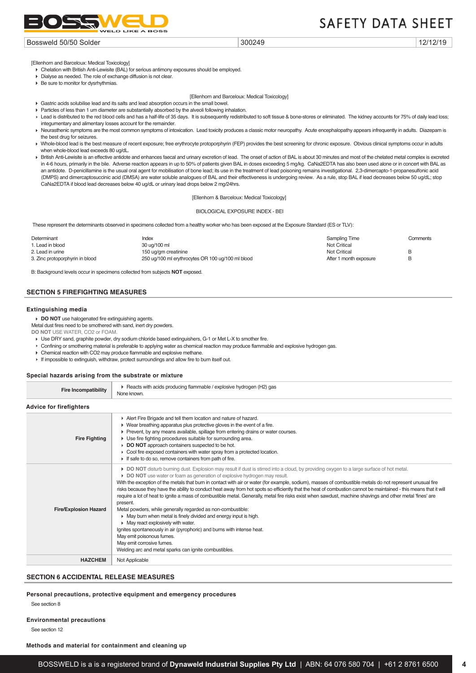

#### Bossweld 50/50 Solder 300249 2012/12/19 300249

[Ellenhorn and Barceloux: Medical Toxicology]

Chelation with British Anti-Lewisite (BAL) for serious antimony exposures should be employed.

- Dialyse as needed. The role of exchange diffusion is not clear.
- Be sure to monitor for dysrhythmias.

#### [Ellenhorn and Barceloux: Medical Toxicology]

- Gastric acids solubilise lead and its salts and lead absorption occurs in the small bowel.
- Particles of less than 1 um diameter are substantially absorbed by the alveoli following inhalation.
- ► Lead is distributed to the red blood cells and has a half-life of 35 days. It is subsequently redistributed to soft tissue & bone-stores or eliminated. The kidney accounts for 75% of daily lead loss; integumentary and alimentary losses account for the remainder.
- ▶ Neurasthenic symptoms are the most common symptoms of intoxication. Lead toxicity produces a classic motor neuropathy. Acute encephalopathy appears infrequently in adults. Diazepam is the best drug for seizures.
- ▶ Whole-blood lead is the best measure of recent exposure; free erythrocyte protoporphyrin (FEP) provides the best screening for chronic exposure. Obvious clinical symptoms occur in adults when whole-blood lead exceeds 80 ug/dL.
- ▶ British Anti-Lewisite is an effective antidote and enhances faecal and urinary excretion of lead. The onset of action of BAL is about 30 minutes and most of the chelated metal complex is excreted in 4-6 hours, primarily in the bile. Adverse reaction appears in up to 50% of patients given BAL in doses exceeding 5 mg/kg. CaNa2EDTA has also been used alone or in concert with BAL as an antidote. D-penicillamine is the usual oral agent for mobilisation of bone lead; its use in the treatment of lead poisoning remains investigational. 2,3-dimercapto-1-propanesulfonic acid (DMPS) and dimercaptosuccinic acid (DMSA) are water soluble analogues of BAL and their effectiveness is undergoing review. As a rule, stop BAL if lead decreases below 50 ug/dL; stop CaNa2EDTA if blood lead decreases below 40 ug/dL or urinary lead drops below 2 mg/24hrs.

[Ellenhorn & Barceloux: Medical Toxicology]

BIOLOGICAL EXPOSURE INDEX - BEI

These represent the determinants observed in specimens collected from a healthy worker who has been exposed at the Exposure Standard (ES or TLV):

| Determinant                     | Index                                             | Sampling Time          | Comments |
|---------------------------------|---------------------------------------------------|------------------------|----------|
| 1. Lead in blood                | 30 ug/100 ml                                      | Not Critical           |          |
| 2. Lead in urine                | 150 ug/gm creatinine                              | <b>Not Critical</b>    | R        |
| 3. Zinc protoporphyrin in blood | 250 ug/100 ml erythrocytes OR 100 ug/100 ml blood | After 1 month exposure | В        |
|                                 |                                                   |                        |          |

B: Background levels occur in specimens collected from subjects **NOT** exposed.

# **SECTION 5 FIREFIGHTING MEASURES**

#### **Extinguishing media**

**DO NOT** use halogenated fire extinguishing agents.

Metal dust fires need to be smothered with sand, inert dry powders.

**DO NOT** USE WATER, CO2 or FOAM.

- ► Use DRY sand, graphite powder, dry sodium chloride based extinguishers, G-1 or Met L-X to smother fire.
- Confining or smothering material is preferable to applying water as chemical reaction may produce flammable and explosive hydrogen gas.
- ► Chemical reaction with CO2 may produce flammable and explosive methane.
- If impossible to extinguish, withdraw, protect surroundings and allow fire to burn itself out.

#### **Special hazards arising from the substrate or mixture**

| <b>Fire Incompatibility</b>    | ► Reacts with acids producing flammable / explosive hydrogen (H2) gas<br>None known.                                                                                                                                                                                                                                                                                                                                                                                                                                                                                                                                                                                                                                                                                                                                                                                                                                                                                                                                                                                                                                         |
|--------------------------------|------------------------------------------------------------------------------------------------------------------------------------------------------------------------------------------------------------------------------------------------------------------------------------------------------------------------------------------------------------------------------------------------------------------------------------------------------------------------------------------------------------------------------------------------------------------------------------------------------------------------------------------------------------------------------------------------------------------------------------------------------------------------------------------------------------------------------------------------------------------------------------------------------------------------------------------------------------------------------------------------------------------------------------------------------------------------------------------------------------------------------|
| <b>Advice for firefighters</b> |                                                                                                                                                                                                                                                                                                                                                                                                                                                                                                                                                                                                                                                                                                                                                                                                                                                                                                                                                                                                                                                                                                                              |
| <b>Fire Fighting</b>           | Alert Fire Brigade and tell them location and nature of hazard.<br>$\blacktriangleright$ Wear breathing apparatus plus protective gloves in the event of a fire.<br>▶ Prevent, by any means available, spillage from entering drains or water courses.<br>• Use fire fighting procedures suitable for surrounding area.<br>DO NOT approach containers suspected to be hot.<br>▶ Cool fire exposed containers with water spray from a protected location.<br>$\triangleright$ If safe to do so, remove containers from path of fire.                                                                                                                                                                                                                                                                                                                                                                                                                                                                                                                                                                                          |
| <b>Fire/Explosion Hazard</b>   | • DO NOT disturb burning dust. Explosion may result if dust is stirred into a cloud, by providing oxygen to a large surface of hot metal.<br>DO NOT use water or foam as generation of explosive hydrogen may result.<br>With the exception of the metals that burn in contact with air or water (for example, sodium), masses of combustible metals do not represent unusual fire<br>risks because they have the ability to conduct heat away from hot spots so efficiently that the heat of combustion cannot be maintained - this means that it will<br>require a lot of heat to ignite a mass of combustible metal. Generally, metal fire risks exist when sawdust, machine shavings and other metal 'fines' are<br>present.<br>Metal powders, while generally regarded as non-combustible:<br>• May burn when metal is finely divided and energy input is high.<br>$\blacktriangleright$ May react explosively with water.<br>Ignites spontaneously in air (pyrophoric) and burns with intense heat.<br>May emit poisonous fumes.<br>May emit corrosive fumes.<br>Welding arc and metal sparks can ignite combustibles. |
| <b>HAZCHEM</b>                 | Not Applicable                                                                                                                                                                                                                                                                                                                                                                                                                                                                                                                                                                                                                                                                                                                                                                                                                                                                                                                                                                                                                                                                                                               |

## **SECTION 6 ACCIDENTAL RELEASE MEASURES**

#### **Personal precautions, protective equipment and emergency procedures**

See section 8

#### **Environmental precautions**

See section 12

**Methods and material for containment and cleaning up**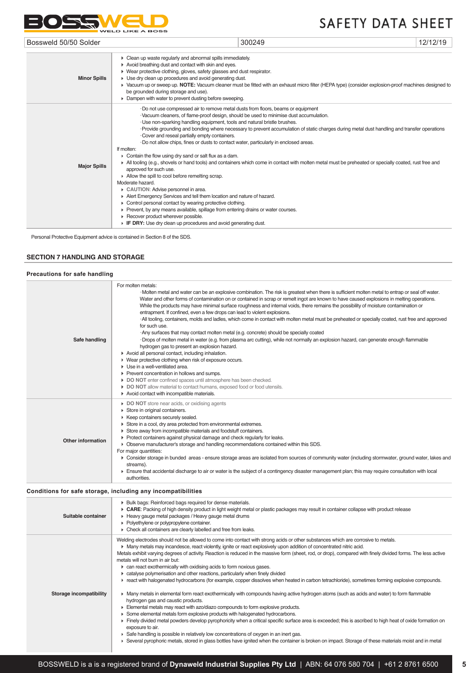

| Bossweld 50/50 Solder |                                                                                                                                                                                                                                                                                                                                                                                                                                                                                                                                                                                                                                                                                                                                                                                                                                                                                                                                                                                                                                                                                                                                                      | 300249                                                                                                                                      | 12/12/19 |
|-----------------------|------------------------------------------------------------------------------------------------------------------------------------------------------------------------------------------------------------------------------------------------------------------------------------------------------------------------------------------------------------------------------------------------------------------------------------------------------------------------------------------------------------------------------------------------------------------------------------------------------------------------------------------------------------------------------------------------------------------------------------------------------------------------------------------------------------------------------------------------------------------------------------------------------------------------------------------------------------------------------------------------------------------------------------------------------------------------------------------------------------------------------------------------------|---------------------------------------------------------------------------------------------------------------------------------------------|----------|
| <b>Minor Spills</b>   | • Clean up waste regularly and abnormal spills immediately.<br>Avoid breathing dust and contact with skin and eyes.<br>▶ Wear protective clothing, gloves, safety glasses and dust respirator.<br>$\triangleright$ Use dry clean up procedures and avoid generating dust.<br>▶ Vacuum up or sweep up. NOTE: Vacuum cleaner must be fitted with an exhaust micro filter (HEPA type) (consider explosion-proof machines designed to<br>be grounded during storage and use).<br>• Dampen with water to prevent dusting before sweeping.                                                                                                                                                                                                                                                                                                                                                                                                                                                                                                                                                                                                                 |                                                                                                                                             |          |
| <b>Major Spills</b>   | . Do not use compressed air to remove metal dusts from floors, beams or equipment<br>· Vacuum cleaners, of flame-proof design, should be used to minimise dust accumulation.<br>· Use non-sparking handling equipment, tools and natural bristle brushes.<br>Cover and reseal partially empty containers.<br>. Do not allow chips, fines or dusts to contact water, particularly in enclosed areas.<br>If molten:<br>$\triangleright$ Contain the flow using dry sand or salt flux as a dam.<br>All tooling (e.g., shovels or hand tools) and containers which come in contact with molten metal must be preheated or specially coated, rust free and<br>approved for such use.<br>Allow the spill to cool before remelting scrap.<br>Moderate hazard.<br>CAUTION: Advise personnel in area.<br>Alert Emergency Services and tell them location and nature of hazard.<br>• Control personal contact by wearing protective clothing.<br>► Prevent, by any means available, spillage from entering drains or water courses.<br>▶ Recover product wherever possible.<br>$\triangleright$ IF DRY: Use dry clean up procedures and avoid generating dust. | -Provide grounding and bonding where necessary to prevent accumulation of static charges during metal dust handling and transfer operations |          |

Personal Protective Equipment advice is contained in Section 8 of the SDS.

# **SECTION 7 HANDLING AND STORAGE**

| Precautions for safe handling |                                                                                                                                                                                                                                                                                                                                                                                                                                                                                                                                                                                                                                                                                                                                                                                                                                                                                                                                                                                                                                                                                                                                                                                                                                                                                                                                                                                                                        |
|-------------------------------|------------------------------------------------------------------------------------------------------------------------------------------------------------------------------------------------------------------------------------------------------------------------------------------------------------------------------------------------------------------------------------------------------------------------------------------------------------------------------------------------------------------------------------------------------------------------------------------------------------------------------------------------------------------------------------------------------------------------------------------------------------------------------------------------------------------------------------------------------------------------------------------------------------------------------------------------------------------------------------------------------------------------------------------------------------------------------------------------------------------------------------------------------------------------------------------------------------------------------------------------------------------------------------------------------------------------------------------------------------------------------------------------------------------------|
| Safe handling                 | For molten metals:<br>·Molten metal and water can be an explosive combination. The risk is greatest when there is sufficient molten metal to entrap or seal off water.<br>Water and other forms of contamination on or contained in scrap or remelt ingot are known to have caused explosions in melting operations.<br>While the products may have minimal surface roughness and internal voids, there remains the possibility of moisture contamination or<br>entrapment. If confined, even a few drops can lead to violent explosions.<br>All tooling, containers, molds and ladles, which come in contact with molten metal must be preheated or specially coated, rust free and approved<br>for such use.<br>Any surfaces that may contact molten metal (e.g. concrete) should be specially coated<br>·Drops of molten metal in water (e.g. from plasma arc cutting), while not normally an explosion hazard, can generate enough flammable<br>hydrogen gas to present an explosion hazard.<br>Avoid all personal contact, including inhalation.<br>• Wear protective clothing when risk of exposure occurs.<br>$\blacktriangleright$ Use in a well-ventilated area.<br>▶ Prevent concentration in hollows and sumps.<br>DO NOT enter confined spaces until atmosphere has been checked.<br>DO NOT allow material to contact humans, exposed food or food utensils.<br>Avoid contact with incompatible materials. |
| Other information             | • DO NOT store near acids, or oxidising agents<br>Store in original containers.<br>▶ Keep containers securely sealed.<br>Store in a cool, dry area protected from environmental extremes.<br>Store away from incompatible materials and foodstuff containers.<br>▶ Protect containers against physical damage and check regularly for leaks.<br>• Observe manufacturer's storage and handling recommendations contained within this SDS.<br>For major quantities:<br>▶ Consider storage in bunded areas - ensure storage areas are isolated from sources of community water (including stormwater, ground water, lakes and<br>streams}.<br>Ensure that accidental discharge to air or water is the subject of a contingency disaster management plan; this may require consultation with local<br>authorities.                                                                                                                                                                                                                                                                                                                                                                                                                                                                                                                                                                                                         |

# **Conditions for safe storage, including any incompatibilities**

| Suitable container      | ▶ Bulk bags: Reinforced bags required for dense materials.<br>▶ CARE: Packing of high density product in light weight metal or plastic packages may result in container collapse with product release<br>Heavy gauge metal packages / Heavy gauge metal drums<br>• Polyethylene or polypropylene container.<br>• Check all containers are clearly labelled and free from leaks.                                                                                                                                                                                                                                                                                                                                                                                                                                                                                                                                                                                                                                                                                                                                                                                                                                                                                                                                                                                                                                                                                                                                                                                                   |
|-------------------------|-----------------------------------------------------------------------------------------------------------------------------------------------------------------------------------------------------------------------------------------------------------------------------------------------------------------------------------------------------------------------------------------------------------------------------------------------------------------------------------------------------------------------------------------------------------------------------------------------------------------------------------------------------------------------------------------------------------------------------------------------------------------------------------------------------------------------------------------------------------------------------------------------------------------------------------------------------------------------------------------------------------------------------------------------------------------------------------------------------------------------------------------------------------------------------------------------------------------------------------------------------------------------------------------------------------------------------------------------------------------------------------------------------------------------------------------------------------------------------------------------------------------------------------------------------------------------------------|
| Storage incompatibility | Welding electrodes should not be allowed to come into contact with strong acids or other substances which are corrosive to metals.<br>• Many metals may incandesce, react violently, ignite or react explosively upon addition of concentrated nitric acid.<br>Metals exhibit varying degrees of activity. Reaction is reduced in the massive form (sheet, rod, or drop), compared with finely divided forms. The less active<br>metals will not burn in air but:<br>can react exothermically with oxidising acids to form noxious gases.<br>catalyse polymerisation and other reactions, particularly when finely divided<br>F react with halogenated hydrocarbons (for example, copper dissolves when heated in carbon tetrachloride), sometimes forming explosive compounds.<br>• Many metals in elemental form react exothermically with compounds having active hydrogen atoms (such as acids and water) to form flammable<br>hydrogen gas and caustic products.<br>Elemental metals may react with azo/diazo compounds to form explosive products.<br>► Some elemental metals form explosive products with halogenated hydrocarbons.<br>Finely divided metal powders develop pyrophoricity when a critical specific surface area is exceeded; this is ascribed to high heat of oxide formation on<br>exposure to air.<br>► Safe handling is possible in relatively low concentrations of oxygen in an inert gas.<br>► Several pyrophoric metals, stored in glass bottles have ignited when the container is broken on impact. Storage of these materials moist and in metal |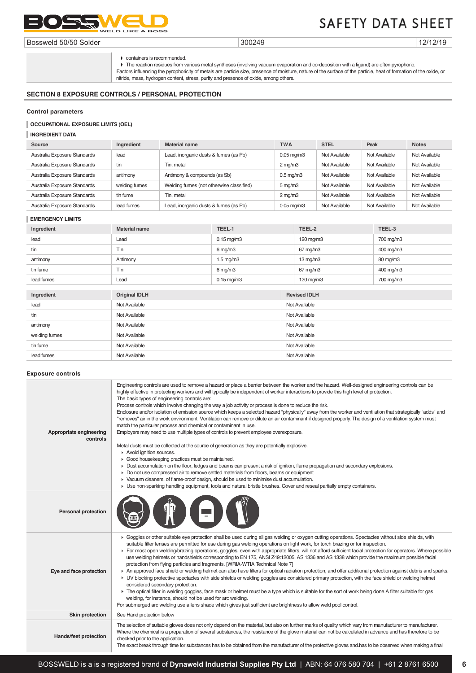

Bossweld 50/50 Solder 300249 12/12/19

containers is recommended.

The reaction residues from various metal syntheses (involving vacuum evaporation and co-deposition with a ligand) are often pyrophoric. Factors influencing the pyrophoricity of metals are particle size, presence of moisture, nature of the surface of the particle, heat of formation of the oxide, or nitride, mass, hydrogen content, stress, purity and presence of oxide, among others.

# **SECTION 8 EXPOSURE CONTROLS / PERSONAL PROTECTION**

#### **Control parameters**

## **OCCUPATIONAL EXPOSURE LIMITS (OEL)**

# **INGREDIENT DATA**

| Source                       | Ingredient    | <b>Material name</b>                     | <b>TWA</b>            | <b>STEL</b>   | Peak          | <b>Notes</b>  |
|------------------------------|---------------|------------------------------------------|-----------------------|---------------|---------------|---------------|
| Australia Exposure Standards | lead          | Lead, inorganic dusts & fumes (as Pb)    | $0.05$ mg/m $3$       | Not Available | Not Available | Not Available |
| Australia Exposure Standards | tin           | Tin. metal                               | $2 \,\mathrm{mq/m}$ 3 | Not Available | Not Available | Not Available |
| Australia Exposure Standards | antimony      | Antimony & compounds (as Sb)             | $0.5$ mg/m $3$        | Not Available | Not Available | Not Available |
| Australia Exposure Standards | welding fumes | Welding fumes (not otherwise classified) | $5 \,\mathrm{mg/m}$   | Not Available | Not Available | Not Available |
| Australia Exposure Standards | tin fume      | Tin. metal                               | $2$ mg/m $3$          | Not Available | Not Available | Not Available |
| Australia Exposure Standards | lead fumes    | Lead, inorganic dusts & fumes (as Pb)    | $0.05$ mg/m $3$       | Not Available | Not Available | Not Available |

#### **EMERGENCY LIMITS**

| Ingredient    | <b>Material name</b> | TEEL-1               | TEEL-2              | TEEL-3    |
|---------------|----------------------|----------------------|---------------------|-----------|
| lead          | Lead                 | $0.15$ mg/m $3$      | 120 mg/m3           | 700 mg/m3 |
| tin           | Tin                  | $6$ mg/m $3$         | 67 mg/m3            | 400 mg/m3 |
| antimony      | Antimony             | $1.5 \text{ mg/m}$ 3 | $13 \text{ mg/m}$   | 80 mg/m3  |
| tin fume      | Tin                  | $6$ mg/m $3$         | 67 mg/m3            | 400 mg/m3 |
| lead fumes    | Lead                 | $0.15$ mg/m $3$      | 120 mg/m3           | 700 mg/m3 |
|               |                      |                      |                     |           |
| Ingredient    | <b>Original IDLH</b> |                      | <b>Revised IDLH</b> |           |
| lead          | Not Available        |                      | Not Available       |           |
| tin           | Not Available        |                      | Not Available       |           |
| antimony      | Not Available        |                      | Not Available       |           |
| welding fumes | Not Available        |                      | Not Available       |           |
| tin fume      | Not Available        |                      | Not Available       |           |
| lead fumes    | Not Available        |                      | Not Available       |           |

#### **Exposure controls**

| Appropriate engineering<br>controls | Engineering controls are used to remove a hazard or place a barrier between the worker and the hazard. Well-designed engineering controls can be<br>highly effective in protecting workers and will typically be independent of worker interactions to provide this high level of protection.<br>The basic types of engineering controls are:<br>Process controls which involve changing the way a job activity or process is done to reduce the risk.<br>Enclosure and/or isolation of emission source which keeps a selected hazard "physically" away from the worker and ventilation that strategically "adds" and<br>"removes" air in the work environment. Ventilation can remove or dilute an air contaminant if designed properly. The design of a ventilation system must<br>match the particular process and chemical or contaminant in use.<br>Employers may need to use multiple types of controls to prevent employee overexposure.<br>Metal dusts must be collected at the source of generation as they are potentially explosive.<br>Avoid ignition sources.<br>Good housekeeping practices must be maintained.<br>> Dust accumulation on the floor, ledges and beams can present a risk of ignition, flame propagation and secondary explosions.<br>▶ Do not use compressed air to remove settled materials from floors, beams or equipment<br>▶ Vacuum cleaners, of flame-proof design, should be used to minimise dust accumulation.<br>• Use non-sparking handling equipment, tools and natural bristle brushes. Cover and reseal partially empty containers. |
|-------------------------------------|---------------------------------------------------------------------------------------------------------------------------------------------------------------------------------------------------------------------------------------------------------------------------------------------------------------------------------------------------------------------------------------------------------------------------------------------------------------------------------------------------------------------------------------------------------------------------------------------------------------------------------------------------------------------------------------------------------------------------------------------------------------------------------------------------------------------------------------------------------------------------------------------------------------------------------------------------------------------------------------------------------------------------------------------------------------------------------------------------------------------------------------------------------------------------------------------------------------------------------------------------------------------------------------------------------------------------------------------------------------------------------------------------------------------------------------------------------------------------------------------------------------------------------------------------------------------------------|
| <b>Personal protection</b>          | <b>/ E</b>                                                                                                                                                                                                                                                                                                                                                                                                                                                                                                                                                                                                                                                                                                                                                                                                                                                                                                                                                                                                                                                                                                                                                                                                                                                                                                                                                                                                                                                                                                                                                                      |
| Eye and face protection             | ▶ Goggles or other suitable eye protection shall be used during all gas welding or oxygen cutting operations. Spectacles without side shields, with<br>suitable filter lenses are permitted for use during gas welding operations on light work, for torch brazing or for inspection.<br>For most open welding/brazing operations, goggles, even with appropriate filters, will not afford sufficient facial protection for operators. Where possible<br>use welding helmets or handshields corresponding to EN 175, ANSI Z49:12005, AS 1336 and AS 1338 which provide the maximum possible facial<br>protection from flying particles and fragments. [WRIA-WTIA Technical Note 7]<br>An approved face shield or welding helmet can also have filters for optical radiation protection, and offer additional protection against debris and sparks.<br>• UV blocking protective spectacles with side shields or welding goggles are considered primary protection, with the face shield or welding helmet<br>considered secondary protection.<br>The optical filter in welding goggles, face mask or helmet must be a type which is suitable for the sort of work being done.A filter suitable for gas<br>welding, for instance, should not be used for arc welding.<br>For submerged arc welding use a lens shade which gives just sufficient arc brightness to allow weld pool control.                                                                                                                                                                                        |
| <b>Skin protection</b>              | See Hand protection below                                                                                                                                                                                                                                                                                                                                                                                                                                                                                                                                                                                                                                                                                                                                                                                                                                                                                                                                                                                                                                                                                                                                                                                                                                                                                                                                                                                                                                                                                                                                                       |
| Hands/feet protection               | The selection of suitable gloves does not only depend on the material, but also on further marks of quality which vary from manufacturer to manufacturer.<br>Where the chemical is a preparation of several substances, the resistance of the glove material can not be calculated in advance and has therefore to be<br>checked prior to the application.<br>The exact break through time for substances has to be obtained from the manufacturer of the protective gloves and has to be observed when making a final                                                                                                                                                                                                                                                                                                                                                                                                                                                                                                                                                                                                                                                                                                                                                                                                                                                                                                                                                                                                                                                          |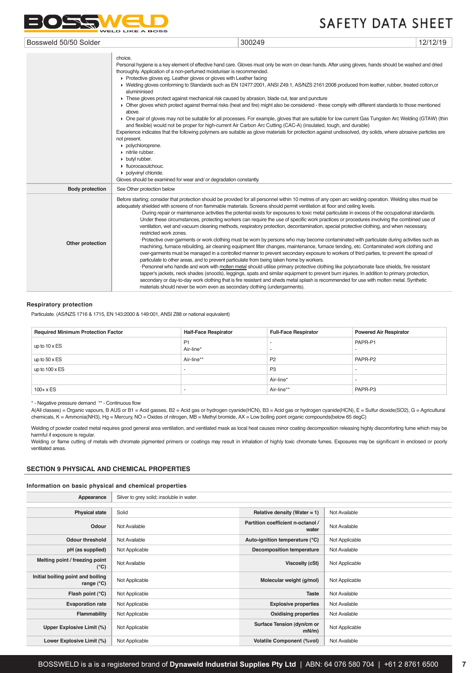

| Bossweld 50/50 Solder  |                                                                                                                                                                                                                                                                                                                                                                                                                                                                                                                                                                                                                                                                                                                                                                                                                                                                                                                                                                                                                                                                                                                                                                                                                                                                                                                                                   | 300249                                                                                                                                                                                                                                                                                                                                                                                                                                                                                                                                                                                                                                                                                                                                                                                                                                                                                                                                                                                                                                                                                                                                                                                                                                                                                                                                                                                                                                                                                                                                                                                                        | 12/12/19 |  |
|------------------------|---------------------------------------------------------------------------------------------------------------------------------------------------------------------------------------------------------------------------------------------------------------------------------------------------------------------------------------------------------------------------------------------------------------------------------------------------------------------------------------------------------------------------------------------------------------------------------------------------------------------------------------------------------------------------------------------------------------------------------------------------------------------------------------------------------------------------------------------------------------------------------------------------------------------------------------------------------------------------------------------------------------------------------------------------------------------------------------------------------------------------------------------------------------------------------------------------------------------------------------------------------------------------------------------------------------------------------------------------|---------------------------------------------------------------------------------------------------------------------------------------------------------------------------------------------------------------------------------------------------------------------------------------------------------------------------------------------------------------------------------------------------------------------------------------------------------------------------------------------------------------------------------------------------------------------------------------------------------------------------------------------------------------------------------------------------------------------------------------------------------------------------------------------------------------------------------------------------------------------------------------------------------------------------------------------------------------------------------------------------------------------------------------------------------------------------------------------------------------------------------------------------------------------------------------------------------------------------------------------------------------------------------------------------------------------------------------------------------------------------------------------------------------------------------------------------------------------------------------------------------------------------------------------------------------------------------------------------------------|----------|--|
|                        | choice.<br>Personal hygiene is a key element of effective hand care. Gloves must only be worn on clean hands. After using gloves, hands should be washed and dried<br>thoroughly. Application of a non-perfumed moisturiser is recommended.<br>▶ Protective gloves eg. Leather gloves or gloves with Leather facing<br>▶ Welding gloves conforming to Standards such as EN 12477:2001, ANSI Z49.1, AS/NZS 2161:2008 produced from leather, rubber, treated cotton,or<br>alumininised<br>These gloves protect against mechanical risk caused by abrasion, blade cut, tear and puncture<br>• Other gloves which protect against thermal risks (heat and fire) might also be considered - these comply with different standards to those mentioned<br>above.<br>• One pair of gloves may not be suitable for all processes. For example, gloves that are suitable for low current Gas Tungsten Arc Welding (GTAW) (thin<br>and flexible) would not be proper for high-current Air Carbon Arc Cutting (CAC-A) (insulated, tough, and durable)<br>Experience indicates that the following polymers are suitable as glove materials for protection against undissolved, dry solids, where abrasive particles are<br>not present.<br>polychloroprene.<br>$\triangleright$ nitrile rubber.<br>butyl rubber.<br>• fluorocaoutchouc.<br>polyvinyl chloride. |                                                                                                                                                                                                                                                                                                                                                                                                                                                                                                                                                                                                                                                                                                                                                                                                                                                                                                                                                                                                                                                                                                                                                                                                                                                                                                                                                                                                                                                                                                                                                                                                               |          |  |
| <b>Body protection</b> | See Other protection below                                                                                                                                                                                                                                                                                                                                                                                                                                                                                                                                                                                                                                                                                                                                                                                                                                                                                                                                                                                                                                                                                                                                                                                                                                                                                                                        |                                                                                                                                                                                                                                                                                                                                                                                                                                                                                                                                                                                                                                                                                                                                                                                                                                                                                                                                                                                                                                                                                                                                                                                                                                                                                                                                                                                                                                                                                                                                                                                                               |          |  |
| Other protection       | restricted work zones.<br>particulate to other areas, and to prevent particulate from being taken home by workers.<br>materials should never be worn even as secondary clothing (undergarments).                                                                                                                                                                                                                                                                                                                                                                                                                                                                                                                                                                                                                                                                                                                                                                                                                                                                                                                                                                                                                                                                                                                                                  | Before starting; consider that protection should be provided for all personnel within 10 metres of any open arc welding operation. Welding sites must be<br>adequately shielded with screens of non flammable materials. Screens should permit ventilation at floor and ceiling levels.<br>-During repair or maintenance activities the potential exists for exposures to toxic metal particulate in excess of the occupational standards.<br>Under these circumstances, protecting workers can require the use of specific work practices or procedures involving the combined use of<br>ventilation, wet and vacuum cleaning methods, respiratory protection, decontamination, special protective clothing, and when necessary,<br>-Protective over-garments or work clothing must be worn by persons who may become contaminated with particulate during activities such as<br>machining, furnace rebuilding, air cleaning equipment filter changes, maintenance, furnace tending, etc. Contaminated work clothing and<br>over-garments must be managed in a controlled manner to prevent secondary exposure to workers of third parties, to prevent the spread of<br>-Personnel who handle and work with molten metal should utilise primary protective clothing like polycarbonate face shields, fire resistant<br>tapper's jackets, neck shades (snoods), leggings, spats and similar equipment to prevent burn injuries. In addition to primary protection,<br>secondary or day-to-day work clothing that is fire resistant and sheds metal splash is recommended for use with molten metal. Synthetic |          |  |

#### **Respiratory protection**

Particulate. (AS/NZS 1716 & 1715, EN 143:2000 & 149:001, ANSI Z88 or national equivalent)

| <b>Required Minimum Protection Factor</b> | <b>Half-Face Respirator</b> | <b>Full-Face Respirator</b> | <b>Powered Air Respirator</b> |
|-------------------------------------------|-----------------------------|-----------------------------|-------------------------------|
| up to $10 \times ES$                      | P1<br>Air-line*             |                             | PAPR-P1                       |
| up to $50 \times ES$                      | Air-line**                  | P <sub>2</sub>              | PAPR-P2                       |
| up to $100 \times ES$                     |                             | P <sub>3</sub>              |                               |
|                                           |                             | Air-line*                   |                               |
| $100 + x ES$                              |                             | Air-line**                  | PAPR-P3                       |

\* - Negative pressure demand \*\* - Continuous flow

A(All classes) = Organic vapours, B AUS or B1 = Acid gasses, B2 = Acid gas or hydrogen cyanide(HCN), B3 = Acid gas or hydrogen cyanide(HCN), E = Sulfur dioxide(SO2), G = Agricultural chemicals, K = Ammonia(NH3), Hg = Mercury, NO = Oxides of nitrogen, MB = Methyl bromide, AX = Low boiling point organic compounds(below 65 degC)

Welding of powder coated metal requires good general area ventilation, and ventilated mask as local heat causes minor coating decomposition releasing highly discomforting fume which may be harmful if exposure is regular.

Welding or flame cutting of metals with chromate pigmented primers or coatings may result in inhalation of highly toxic chromate fumes. Exposures may be significant in enclosed or poorly ventilated areas.

#### **SECTION 9 PHYSICAL AND CHEMICAL PROPERTIES**

#### **Information on basic physical and chemical properties**

| Appearance                                               | Silver to grey solid; insoluble in water. |                                            |                |
|----------------------------------------------------------|-------------------------------------------|--------------------------------------------|----------------|
|                                                          |                                           |                                            |                |
| <b>Physical state</b>                                    | Solid                                     | Relative density (Water = $1$ )            | Not Available  |
| Odour                                                    | Not Available                             | Partition coefficient n-octanol /<br>water | Not Available  |
| <b>Odour threshold</b>                                   | Not Available                             | Auto-ignition temperature (°C)             | Not Applicable |
| pH (as supplied)                                         | Not Applicable                            | Decomposition temperature                  | Not Available  |
| Melting point / freezing point<br>$(^{\circ}C)$          | Not Available                             | Viscosity (cSt)                            | Not Applicable |
| Initial boiling point and boiling<br>range $(^{\circ}C)$ | Not Applicable                            | Molecular weight (g/mol)                   | Not Applicable |
| Flash point (°C)                                         | Not Applicable                            | <b>Taste</b>                               | Not Available  |
| <b>Evaporation rate</b>                                  | Not Applicable                            | <b>Explosive properties</b>                | Not Available  |
| Flammability                                             | Not Applicable                            | <b>Oxidising properties</b>                | Not Available  |
| Upper Explosive Limit (%)                                | Not Applicable                            | Surface Tension (dyn/cm or<br>$mN/m$ )     | Not Applicable |
| Lower Explosive Limit (%)                                | Not Applicable                            | <b>Volatile Component (%vol)</b>           | Not Available  |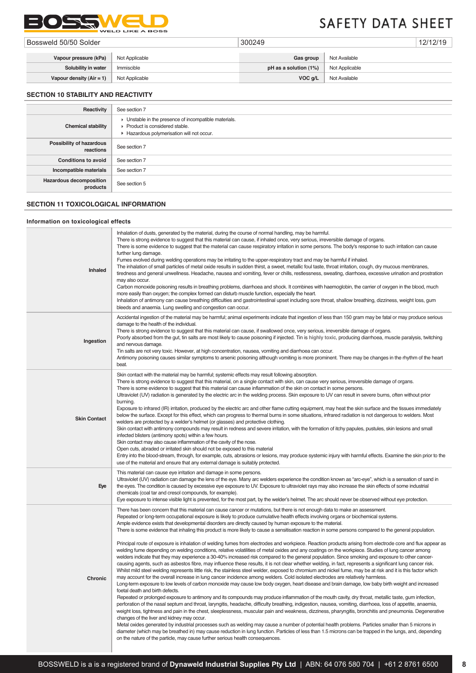

| Bossweld 50/50 Solder      |                | 300249                |                | 12/12/19 |
|----------------------------|----------------|-----------------------|----------------|----------|
|                            |                |                       |                |          |
| Vapour pressure (kPa)      | Not Applicable | Gas group             | Not Available  |          |
| Solubility in water        | Immiscible     | pH as a solution (1%) | Not Applicable |          |
| Vapour density $(Air = 1)$ | Not Applicable | VOC q/L               | Not Available  |          |

# **SECTION 10 STABILITY AND REACTIVITY**

| Reactivity                                 | See section 7                                                                                                                        |
|--------------------------------------------|--------------------------------------------------------------------------------------------------------------------------------------|
| <b>Chemical stability</b>                  | • Unstable in the presence of incompatible materials.<br>▶ Product is considered stable.<br>Hazardous polymerisation will not occur. |
| Possibility of hazardous<br>reactions      | See section 7                                                                                                                        |
| <b>Conditions to avoid</b>                 | See section 7                                                                                                                        |
| Incompatible materials                     | See section 7                                                                                                                        |
| <b>Hazardous decomposition</b><br>products | See section 5                                                                                                                        |

# **SECTION 11 TOXICOLOGICAL INFORMATION**

## **Information on toxicological effects**

| Inhaled             | Inhalation of dusts, generated by the material, during the course of normal handling, may be harmful.<br>There is strong evidence to suggest that this material can cause, if inhaled once, very serious, irreversible damage of organs.<br>There is some evidence to suggest that the material can cause respiratory irritation in some persons. The body's response to such irritation can cause<br>further lung damage.<br>Fumes evolved during welding operations may be irritating to the upper-respiratory tract and may be harmful if inhaled.<br>The inhalation of small particles of metal oxide results in sudden thirst, a sweet, metallic foul taste, throat irritation, cough, dry mucous membranes,<br>tiredness and general unwellness. Headache, nausea and vomiting, fever or chills, restlessness, sweating, diarrhoea, excessive urination and prostration<br>may also occur.<br>Carbon monoxide poisoning results in breathing problems, diarrhoea and shock. It combines with haemoglobin, the carrier of oxygen in the blood, much<br>more easily than oxygen; the complex formed can disturb muscle function, especially the heart.<br>Inhalation of antimony can cause breathing difficulties and gastrointestinal upset including sore throat, shallow breathing, dizziness, weight loss, gum<br>bleeds and anaemia. Lung swelling and congestion can occur.                                                                                                                                                                                                                                                                                                                                                                                                                                                                                                                                                                                                                                                                                                                                                                                                                                                                                                                                                                                                                                                                                                                                                                                                                               |
|---------------------|---------------------------------------------------------------------------------------------------------------------------------------------------------------------------------------------------------------------------------------------------------------------------------------------------------------------------------------------------------------------------------------------------------------------------------------------------------------------------------------------------------------------------------------------------------------------------------------------------------------------------------------------------------------------------------------------------------------------------------------------------------------------------------------------------------------------------------------------------------------------------------------------------------------------------------------------------------------------------------------------------------------------------------------------------------------------------------------------------------------------------------------------------------------------------------------------------------------------------------------------------------------------------------------------------------------------------------------------------------------------------------------------------------------------------------------------------------------------------------------------------------------------------------------------------------------------------------------------------------------------------------------------------------------------------------------------------------------------------------------------------------------------------------------------------------------------------------------------------------------------------------------------------------------------------------------------------------------------------------------------------------------------------------------------------------------------------------------------------------------------------------------------------------------------------------------------------------------------------------------------------------------------------------------------------------------------------------------------------------------------------------------------------------------------------------------------------------------------------------------------------------------------------------------------------------------------------------------------------------------------|
| Ingestion           | Accidental ingestion of the material may be harmful; animal experiments indicate that ingestion of less than 150 gram may be fatal or may produce serious<br>damage to the health of the individual.<br>There is strong evidence to suggest that this material can cause, if swallowed once, very serious, irreversible damage of organs.<br>Poorly absorbed from the qut, tin salts are most likely to cause poisoning if injected. Tin is highly toxic, producing diarrhoea, muscle paralysis, twitching<br>and nervous damage.<br>Tin salts are not very toxic. However, at high concentration, nausea, vomiting and diarrhoea can occur.<br>Antimony poisoning causes similar symptoms to arsenic poisoning although vomiting is more prominent. There may be changes in the rhythm of the heart<br>beat.                                                                                                                                                                                                                                                                                                                                                                                                                                                                                                                                                                                                                                                                                                                                                                                                                                                                                                                                                                                                                                                                                                                                                                                                                                                                                                                                                                                                                                                                                                                                                                                                                                                                                                                                                                                                       |
| <b>Skin Contact</b> | Skin contact with the material may be harmful; systemic effects may result following absorption.<br>There is strong evidence to suggest that this material, on a single contact with skin, can cause very serious, irreversible damage of organs.<br>There is some evidence to suggest that this material can cause inflammation of the skin on contact in some persons.<br>Ultraviolet (UV) radiation is generated by the electric arc in the welding process. Skin exposure to UV can result in severe burns, often without prior<br>burning.<br>Exposure to infrared (IR) irritation, produced by the electric arc and other flame cutting equipment, may heat the skin surface and the tissues immediately<br>below the surface. Except for this effect, which can progress to thermal burns in some situations, infrared radiation is not dangerous to welders. Most<br>welders are protected by a welder's helmet (or glasses) and protective clothing.<br>Skin contact with antimony compounds may result in redness and severe irritation, with the formation of itchy papules, pustules, skin lesions and small<br>infected blisters (antimony spots) within a few hours.<br>Skin contact may also cause inflammation of the cavity of the nose.<br>Open cuts, abraded or irritated skin should not be exposed to this material<br>Entry into the blood-stream, through, for example, cuts, abrasions or lesions, may produce systemic injury with harmful effects. Examine the skin prior to the<br>use of the material and ensure that any external damage is suitably protected.                                                                                                                                                                                                                                                                                                                                                                                                                                                                                                                                                                                                                                                                                                                                                                                                                                                                                                                                                                                                                        |
| Eye                 | This material can cause eye irritation and damage in some persons.<br>Ultraviolet (UV) radiation can damage the lens of the eye. Many arc welders experience the condition known as "arc-eye", which is a sensation of sand in<br>the eyes. The condition is caused by excessive eye exposure to UV. Exposure to ultraviolet rays may also increase the skin effects of some industrial<br>chemicals (coal tar and cresol compounds, for example).<br>Eye exposure to intense visible light is prevented, for the most part, by the welder's helmet. The arc should never be observed without eye protection.                                                                                                                                                                                                                                                                                                                                                                                                                                                                                                                                                                                                                                                                                                                                                                                                                                                                                                                                                                                                                                                                                                                                                                                                                                                                                                                                                                                                                                                                                                                                                                                                                                                                                                                                                                                                                                                                                                                                                                                                       |
| <b>Chronic</b>      | There has been concern that this material can cause cancer or mutations, but there is not enough data to make an assessment.<br>Repeated or long-term occupational exposure is likely to produce cumulative health effects involving organs or biochemical systems.<br>Ample evidence exists that developmental disorders are directly caused by human exposure to the material.<br>There is some evidence that inhaling this product is more likely to cause a sensitisation reaction in some persons compared to the general population.<br>Principal route of exposure is inhalation of welding fumes from electrodes and workpiece. Reaction products arising from electrode core and flux appear as<br>welding fume depending on welding conditions, relative volatilities of metal oxides and any coatings on the workpiece. Studies of lung cancer among<br>welders indicate that they may experience a 30-40% increased risk compared to the general population. Since smoking and exposure to other cancer-<br>causing agents, such as asbestos fibre, may influence these results, it is not clear whether welding, in fact, represents a significant lung cancer risk.<br>Whilst mild steel welding represents little risk, the stainless steel welder, exposed to chromium and nickel fume, may be at risk and it is this factor which<br>may account for the overall increase in lung cancer incidence among welders. Cold isolated electrodes are relatively harmless.<br>Long-term exposure to low levels of carbon monoxide may cause low body oxygen, heart disease and brain damage, low baby birth weight and increased<br>foetal death and birth defects.<br>Repeated or prolonged exposure to antimony and its compounds may produce inflammation of the mouth cavity, dry throat, metallic taste, gum infection,<br>perforation of the nasal septum and throat, laryngitis, headache, difficulty breathing, indigestion, nausea, vomiting, diarrhoea, loss of appetite, anaemia,<br>weight loss, tightness and pain in the chest, sleeplessness, muscular pain and weakness, dizziness, pharyngitis, bronchitis and pneumonia. Degenerative<br>changes of the liver and kidney may occur.<br>Metal oxides generated by industrial processes such as welding may cause a number of potential health problems. Particles smaller than 5 microns in<br>diameter (which may be breathed in) may cause reduction in lung function. Particles of less than 1.5 microns can be trapped in the lungs, and, depending<br>on the nature of the particle, may cause further serious health consequences. |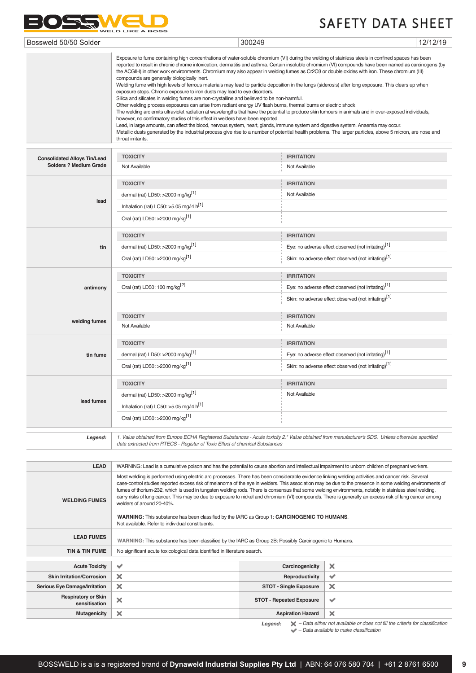

| Bossweld 50/50 Solder | 300249                                                                                                                                                                                                                                                                                                      | 12/12/19 |
|-----------------------|-------------------------------------------------------------------------------------------------------------------------------------------------------------------------------------------------------------------------------------------------------------------------------------------------------------|----------|
|                       | Exposure to fume containing high concentrations of water-soluble chromium (VI) during the welding of stainless steels in confined spaces has been<br>reported to result in chronic chrome intoxication, dermatitis and asthma. Certain insoluble chromium (VI) compounds have been named as carcinogens (by |          |

|                                                               | Exposure to fume containing high concentrations of water-soluble chromium (VI) during the welding of stainless steels in confined spaces has been<br>reported to result in chronic chrome intoxication, dermatitis and asthma. Certain insoluble chromium (VI) compounds have been named as carcinogens (by<br>the ACGIH) in other work environments. Chromium may also appear in welding fumes as Cr2O3 or double oxides with iron. These chromium (III)<br>compounds are generally biologically inert.<br>Welding fume with high levels of ferrous materials may lead to particle deposition in the lungs (siderosis) after long exposure. This clears up when<br>exposure stops. Chronic exposure to iron dusts may lead to eye disorders.<br>Silica and silicates in welding fumes are non-crystalline and believed to be non-harmful.<br>Other welding process exposures can arise from radiant energy UV flash burns, thermal burns or electric shock<br>The welding arc emits ultraviolet radiation at wavelengths that have the potential to produce skin tumours in animals and in over-exposed individuals,<br>however, no confirmatory studies of this effect in welders have been reported.<br>Lead, in large amounts, can affect the blood, nervous system, heart, glands, immune system and digestive system. Anaemia may occur.<br>Metallic dusts generated by the industrial process give rise to a number of potential health problems. The larger particles, above 5 micron, are nose and<br>throat irritants. |                                                                  |  |
|---------------------------------------------------------------|----------------------------------------------------------------------------------------------------------------------------------------------------------------------------------------------------------------------------------------------------------------------------------------------------------------------------------------------------------------------------------------------------------------------------------------------------------------------------------------------------------------------------------------------------------------------------------------------------------------------------------------------------------------------------------------------------------------------------------------------------------------------------------------------------------------------------------------------------------------------------------------------------------------------------------------------------------------------------------------------------------------------------------------------------------------------------------------------------------------------------------------------------------------------------------------------------------------------------------------------------------------------------------------------------------------------------------------------------------------------------------------------------------------------------------------------------------------------------------------------------------------------------------|------------------------------------------------------------------|--|
|                                                               | <b>TOXICITY</b>                                                                                                                                                                                                                                                                                                                                                                                                                                                                                                                                                                                                                                                                                                                                                                                                                                                                                                                                                                                                                                                                                                                                                                                                                                                                                                                                                                                                                                                                                                                  | <b>IRRITATION</b>                                                |  |
| <b>Consolidated Alloys Tin/Lead</b><br>Solders ? Medium Grade | Not Available                                                                                                                                                                                                                                                                                                                                                                                                                                                                                                                                                                                                                                                                                                                                                                                                                                                                                                                                                                                                                                                                                                                                                                                                                                                                                                                                                                                                                                                                                                                    | Not Available                                                    |  |
|                                                               | <b>TOXICITY</b>                                                                                                                                                                                                                                                                                                                                                                                                                                                                                                                                                                                                                                                                                                                                                                                                                                                                                                                                                                                                                                                                                                                                                                                                                                                                                                                                                                                                                                                                                                                  | <b>IRRITATION</b>                                                |  |
|                                                               | dermal (rat) LD50: >2000 mg/kg <sup>[1]</sup>                                                                                                                                                                                                                                                                                                                                                                                                                                                                                                                                                                                                                                                                                                                                                                                                                                                                                                                                                                                                                                                                                                                                                                                                                                                                                                                                                                                                                                                                                    | Not Available                                                    |  |
| lead                                                          | Inhalation (rat) LC50: >5.05 mg/l4 h[1]                                                                                                                                                                                                                                                                                                                                                                                                                                                                                                                                                                                                                                                                                                                                                                                                                                                                                                                                                                                                                                                                                                                                                                                                                                                                                                                                                                                                                                                                                          |                                                                  |  |
|                                                               | Oral (rat) LD50: >2000 mg/kg <sup>[1]</sup>                                                                                                                                                                                                                                                                                                                                                                                                                                                                                                                                                                                                                                                                                                                                                                                                                                                                                                                                                                                                                                                                                                                                                                                                                                                                                                                                                                                                                                                                                      |                                                                  |  |
|                                                               | <b>TOXICITY</b>                                                                                                                                                                                                                                                                                                                                                                                                                                                                                                                                                                                                                                                                                                                                                                                                                                                                                                                                                                                                                                                                                                                                                                                                                                                                                                                                                                                                                                                                                                                  | <b>IRRITATION</b>                                                |  |
| tin                                                           | dermal (rat) LD50: >2000 mg/kg <sup>[1]</sup>                                                                                                                                                                                                                                                                                                                                                                                                                                                                                                                                                                                                                                                                                                                                                                                                                                                                                                                                                                                                                                                                                                                                                                                                                                                                                                                                                                                                                                                                                    | Eye: no adverse effect observed (not irritating) <sup>[1]</sup>  |  |
|                                                               | Oral (rat) LD50: >2000 mg/kg <sup>[1]</sup>                                                                                                                                                                                                                                                                                                                                                                                                                                                                                                                                                                                                                                                                                                                                                                                                                                                                                                                                                                                                                                                                                                                                                                                                                                                                                                                                                                                                                                                                                      | Skin: no adverse effect observed (not irritating) <sup>[1]</sup> |  |
|                                                               | <b>TOXICITY</b>                                                                                                                                                                                                                                                                                                                                                                                                                                                                                                                                                                                                                                                                                                                                                                                                                                                                                                                                                                                                                                                                                                                                                                                                                                                                                                                                                                                                                                                                                                                  | <b>IRRITATION</b>                                                |  |
| antimony                                                      | Oral (rat) LD50: 100 mg/kg <sup>[2]</sup>                                                                                                                                                                                                                                                                                                                                                                                                                                                                                                                                                                                                                                                                                                                                                                                                                                                                                                                                                                                                                                                                                                                                                                                                                                                                                                                                                                                                                                                                                        | Eye: no adverse effect observed (not irritating) <sup>[1]</sup>  |  |
|                                                               |                                                                                                                                                                                                                                                                                                                                                                                                                                                                                                                                                                                                                                                                                                                                                                                                                                                                                                                                                                                                                                                                                                                                                                                                                                                                                                                                                                                                                                                                                                                                  | Skin: no adverse effect observed (not irritating)[1]             |  |
|                                                               | <b>TOXICITY</b>                                                                                                                                                                                                                                                                                                                                                                                                                                                                                                                                                                                                                                                                                                                                                                                                                                                                                                                                                                                                                                                                                                                                                                                                                                                                                                                                                                                                                                                                                                                  | <b>IRRITATION</b>                                                |  |
| welding fumes                                                 | Not Available                                                                                                                                                                                                                                                                                                                                                                                                                                                                                                                                                                                                                                                                                                                                                                                                                                                                                                                                                                                                                                                                                                                                                                                                                                                                                                                                                                                                                                                                                                                    | Not Available                                                    |  |
|                                                               | <b>TOXICITY</b>                                                                                                                                                                                                                                                                                                                                                                                                                                                                                                                                                                                                                                                                                                                                                                                                                                                                                                                                                                                                                                                                                                                                                                                                                                                                                                                                                                                                                                                                                                                  | <b>IRRITATION</b>                                                |  |
| tin fume                                                      | dermal (rat) LD50: >2000 mg/kg <sup>[1]</sup>                                                                                                                                                                                                                                                                                                                                                                                                                                                                                                                                                                                                                                                                                                                                                                                                                                                                                                                                                                                                                                                                                                                                                                                                                                                                                                                                                                                                                                                                                    | Eye: no adverse effect observed (not irritating) <sup>[1]</sup>  |  |
|                                                               | Oral (rat) LD50: >2000 mg/kg <sup>[1]</sup>                                                                                                                                                                                                                                                                                                                                                                                                                                                                                                                                                                                                                                                                                                                                                                                                                                                                                                                                                                                                                                                                                                                                                                                                                                                                                                                                                                                                                                                                                      | Skin: no adverse effect observed (not irritating) <sup>[1]</sup> |  |
|                                                               | <b>TOXICITY</b>                                                                                                                                                                                                                                                                                                                                                                                                                                                                                                                                                                                                                                                                                                                                                                                                                                                                                                                                                                                                                                                                                                                                                                                                                                                                                                                                                                                                                                                                                                                  | <b>IRRITATION</b>                                                |  |
| lead fumes                                                    | dermal (rat) LD50: >2000 mg/kg <sup>[1]</sup>                                                                                                                                                                                                                                                                                                                                                                                                                                                                                                                                                                                                                                                                                                                                                                                                                                                                                                                                                                                                                                                                                                                                                                                                                                                                                                                                                                                                                                                                                    | Not Available                                                    |  |
|                                                               | Inhalation (rat) LC50: >5.05 mg/l4 $h^{[1]}$                                                                                                                                                                                                                                                                                                                                                                                                                                                                                                                                                                                                                                                                                                                                                                                                                                                                                                                                                                                                                                                                                                                                                                                                                                                                                                                                                                                                                                                                                     |                                                                  |  |
|                                                               | Oral (rat) LD50: >2000 mg/kg <sup>[1]</sup>                                                                                                                                                                                                                                                                                                                                                                                                                                                                                                                                                                                                                                                                                                                                                                                                                                                                                                                                                                                                                                                                                                                                                                                                                                                                                                                                                                                                                                                                                      |                                                                  |  |
| Legend:                                                       | 1. Value obtained from Europe ECHA Registered Substances - Acute toxicity 2.* Value obtained from manufacturer's SDS. Unless otherwise specified                                                                                                                                                                                                                                                                                                                                                                                                                                                                                                                                                                                                                                                                                                                                                                                                                                                                                                                                                                                                                                                                                                                                                                                                                                                                                                                                                                                 |                                                                  |  |
|                                                               | data extracted from RTECS - Register of Toxic Effect of chemical Substances                                                                                                                                                                                                                                                                                                                                                                                                                                                                                                                                                                                                                                                                                                                                                                                                                                                                                                                                                                                                                                                                                                                                                                                                                                                                                                                                                                                                                                                      |                                                                  |  |
| <b>LEAD</b>                                                   | WARNING: Lead is a cumulative poison and has the potential to cause abortion and intellectual impairment to unborn children of pregnant workers.                                                                                                                                                                                                                                                                                                                                                                                                                                                                                                                                                                                                                                                                                                                                                                                                                                                                                                                                                                                                                                                                                                                                                                                                                                                                                                                                                                                 |                                                                  |  |
|                                                               |                                                                                                                                                                                                                                                                                                                                                                                                                                                                                                                                                                                                                                                                                                                                                                                                                                                                                                                                                                                                                                                                                                                                                                                                                                                                                                                                                                                                                                                                                                                                  |                                                                  |  |

| <b>WELDING FUMES</b>                        | Most welding is performed using electric arc processes. There has been considerable evidence linking welding activities and cancer risk. Several<br>fumes of thorium-232, which is used in tungsten welding rods. There is consensus that some welding environments, notably in stainless steel welding,<br>carry risks of lung cancer. This may be due to exposure to nickel and chromium (VI) compounds. There is generally an excess risk of lung cancer among<br>welders of around 20-40%.<br><b>WARNING:</b> This substance has been classified by the IARC as Group 1: <b>CARCINOGENIC TO HUMANS</b> .<br>Not available. Refer to individual constituents. |                                 | case-control studies reported excess risk of melanoma of the eye in welders. This association may be due to the presence in some welding environments of |
|---------------------------------------------|------------------------------------------------------------------------------------------------------------------------------------------------------------------------------------------------------------------------------------------------------------------------------------------------------------------------------------------------------------------------------------------------------------------------------------------------------------------------------------------------------------------------------------------------------------------------------------------------------------------------------------------------------------------|---------------------------------|----------------------------------------------------------------------------------------------------------------------------------------------------------|
| <b>LEAD FUMES</b>                           | WARNING: This substance has been classified by the IARC as Group 2B: Possibly Carcinogenic to Humans.                                                                                                                                                                                                                                                                                                                                                                                                                                                                                                                                                            |                                 |                                                                                                                                                          |
| <b>TIN &amp; TIN FUME</b>                   | No significant acute toxicological data identified in literature search.                                                                                                                                                                                                                                                                                                                                                                                                                                                                                                                                                                                         |                                 |                                                                                                                                                          |
|                                             |                                                                                                                                                                                                                                                                                                                                                                                                                                                                                                                                                                                                                                                                  |                                 |                                                                                                                                                          |
| <b>Acute Toxicity</b>                       | ✔                                                                                                                                                                                                                                                                                                                                                                                                                                                                                                                                                                                                                                                                | Carcinogenicity                 | ×                                                                                                                                                        |
| <b>Skin Irritation/Corrosion</b>            | ×                                                                                                                                                                                                                                                                                                                                                                                                                                                                                                                                                                                                                                                                | Reproductivity                  | ✔                                                                                                                                                        |
| Serious Eye Damage/Irritation               | $\times$                                                                                                                                                                                                                                                                                                                                                                                                                                                                                                                                                                                                                                                         | <b>STOT - Single Exposure</b>   | $\times$                                                                                                                                                 |
| <b>Respiratory or Skin</b><br>sensitisation | ×                                                                                                                                                                                                                                                                                                                                                                                                                                                                                                                                                                                                                                                                | <b>STOT - Repeated Exposure</b> | ✓                                                                                                                                                        |
| <b>Mutagenicity</b>                         | ×                                                                                                                                                                                                                                                                                                                                                                                                                                                                                                                                                                                                                                                                | <b>Aspiration Hazard</b>        | $\times$                                                                                                                                                 |
|                                             |                                                                                                                                                                                                                                                                                                                                                                                                                                                                                                                                                                                                                                                                  | Legend:                         | $\blacktriangleright$ - Data either not available or does not fill the criteria for classification                                                       |

 *– Data available to make classification*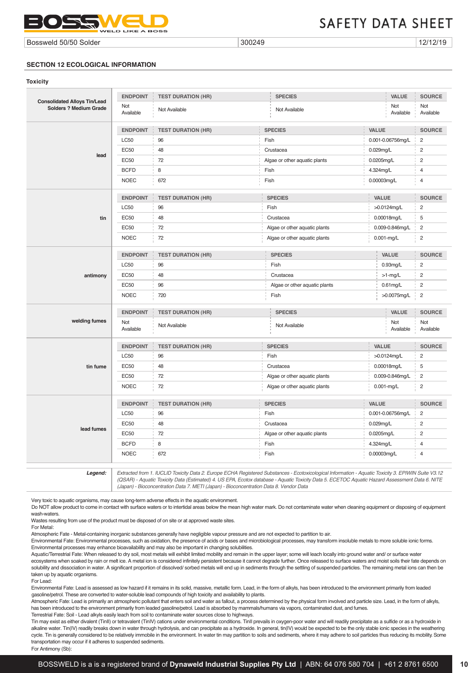

Bossweld 50/50 Solder 300249 2012/12/19 300249

## **SECTION 12 ECOLOGICAL INFORMATION**

| Toxicity                                                             |                  |                           |                               |              |                   |                  |
|----------------------------------------------------------------------|------------------|---------------------------|-------------------------------|--------------|-------------------|------------------|
|                                                                      | <b>ENDPOINT</b>  | <b>TEST DURATION (HR)</b> | <b>SPECIES</b>                |              | VALUE             | <b>SOURCE</b>    |
| <b>Consolidated Alloys Tin/Lead</b><br><b>Solders ? Medium Grade</b> | Not<br>Available | Not Available             | Not Available                 |              | Not<br>Available  | Not<br>Available |
|                                                                      | <b>ENDPOINT</b>  | <b>TEST DURATION (HR)</b> | <b>SPECIES</b>                | VALUE        |                   | <b>SOURCE</b>    |
|                                                                      | <b>LC50</b>      | 96                        | Fish                          |              | 0.001-0.06756mg/L | $\overline{c}$   |
|                                                                      | <b>EC50</b>      | 48                        | Crustacea                     | 0.029mg/L    |                   | $\overline{c}$   |
| lead                                                                 | <b>EC50</b>      | 72                        | Algae or other aquatic plants | 0.0205mg/L   |                   | $\overline{c}$   |
|                                                                      | <b>BCFD</b>      | 8                         | Fish                          | 4.324mg/L    |                   | 4                |
|                                                                      | <b>NOEC</b>      | 672                       | Fish                          | 0.00003mg/L  |                   | $\overline{4}$   |
|                                                                      | <b>ENDPOINT</b>  | <b>TEST DURATION (HR)</b> | <b>SPECIES</b>                | VALUE        |                   | <b>SOURCE</b>    |
|                                                                      | <b>LC50</b>      | 96                        | Fish                          |              | >0.0124mg/L       | $\overline{c}$   |
| tin                                                                  | <b>EC50</b>      | 48                        | Crustacea                     |              | 0.00018mg/L       | 5                |
|                                                                      | <b>EC50</b>      | 72                        | Algae or other aquatic plants |              | 0.009-0.846mg/L   | $\overline{c}$   |
|                                                                      | <b>NOEC</b>      | 72                        | Algae or other aquatic plants |              | $0.001$ -mg/L     | $\overline{c}$   |
|                                                                      | <b>ENDPOINT</b>  | <b>TEST DURATION (HR)</b> | <b>SPECIES</b>                |              | VALUE             | <b>SOURCE</b>    |
| antimony                                                             | <b>LC50</b>      | 96                        | Fish                          |              | $0.93$ mg/L       | $\overline{c}$   |
|                                                                      | <b>EC50</b>      | 48                        | Crustacea                     |              | $>1$ -mg/L        | $\overline{c}$   |
|                                                                      | <b>EC50</b>      | 96                        | Algae or other aquatic plants |              | $0.61$ mg/L       | $\overline{c}$   |
|                                                                      | <b>NOEC</b>      | 720                       | Fish                          |              | >0.0075mg/L       | $\overline{c}$   |
|                                                                      | <b>ENDPOINT</b>  | <b>TEST DURATION (HR)</b> | <b>SPECIES</b>                |              | <b>VALUE</b>      | <b>SOURCE</b>    |
| welding fumes                                                        | Not<br>Available | Not Available             | Not Available                 |              | Not<br>Available  | Not<br>Available |
|                                                                      | <b>ENDPOINT</b>  | <b>TEST DURATION (HR)</b> | <b>SPECIES</b>                | VALUE        |                   | <b>SOURCE</b>    |
|                                                                      | <b>LC50</b>      | 96                        | Fish                          |              | >0.0124mg/L       | $\overline{c}$   |
| tin fume                                                             | <b>EC50</b>      | 48                        | Crustacea                     |              | 0.00018mg/L       | 5                |
|                                                                      | <b>EC50</b>      | 72                        | Algae or other aquatic plants |              | 0.009-0.846mg/L   | $\overline{c}$   |
|                                                                      | <b>NOEC</b>      | 72                        | Algae or other aquatic plants |              | $0.001$ -mg/L     | $\overline{c}$   |
|                                                                      | <b>ENDPOINT</b>  | <b>TEST DURATION (HR)</b> | <b>SPECIES</b>                | <b>VALUE</b> |                   | <b>SOURCE</b>    |
|                                                                      | <b>LC50</b>      | 96                        | Fish                          |              | 0.001-0.06756mg/L | $\overline{c}$   |
|                                                                      | <b>EC50</b>      | 48                        | Crustacea                     | $0.029$ mg/L |                   | $\overline{c}$   |
| lead fumes                                                           | <b>EC50</b>      | 72                        | Algae or other aquatic plants | 0.0205mg/L   |                   | $\overline{c}$   |
|                                                                      | <b>BCFD</b>      | 8                         | Fish                          | 4.324mg/L    |                   | $\overline{4}$   |
|                                                                      | <b>NOEC</b>      | 672                       | Fish                          | 0.00003mg/L  |                   | $\overline{4}$   |
|                                                                      |                  |                           |                               |              |                   |                  |

*Legend: Extracted from 1. IUCLID Toxicity Data 2. Europe ECHA Registered Substances - Ecotoxicological Information - Aquatic Toxicity 3. EPIWIN Suite V3.12 (QSAR) - Aquatic Toxicity Data (Estimated) 4. US EPA, Ecotox database - Aquatic Toxicity Data 5. ECETOC Aquatic Hazard Assessment Data 6. NITE (Japan) - Bioconcentration Data 7. METI (Japan) - Bioconcentration Data 8. Vendor Data*

Very toxic to aquatic organisms, may cause long-term adverse effects in the aquatic environment.

Do NOT allow product to come in contact with surface waters or to intertidal areas below the mean high water mark. Do not contaminate water when cleaning equipment or disposing of equipment wash-waters.

Wastes resulting from use of the product must be disposed of on site or at approved waste sites.

For Metal:

Atmospheric Fate - Metal-containing inorganic substances generally have negligible vapour pressure and are not expected to partition to air.

Environmental Fate: Environmental processes, such as oxidation, the presence of acids or bases and microbiological processes, may transform insoluble metals to more soluble ionic forms. Environmental processes may enhance bioavailability and may also be important in changing solubilities.

Aquatic/Terrestrial Fate: When released to dry soil, most metals will exhibit limited mobility and remain in the upper layer; some will leach locally into ground water and/ or surface water ecosystems when soaked by rain or melt ice. A metal ion is considered infinitely persistent because it cannot degrade further. Once released to surface waters and moist soils their fate depends on solubility and dissociation in water. A significant proportion of dissolved/ sorbed metals will end up in sediments through the settling of suspended particles. The remaining metal ions can then be taken up by aquatic organisms.

For Lead:

Environmental Fate: Lead is assessed as low hazard if it remains in its solid, massive, metallic form. Lead, in the form of alkyls, has been introduced to the environment primarily from leaded gasoline/petrol. These are converted to water-soluble lead compounds of high toxicity and availability to plants.

Atmospheric Fate: Lead is primarily an atmospheric pollutant that enters soil and water as fallout, a process determined by the physical form involved and particle size. Lead, in the form of alkyls, has been introduced to the environment primarily from leaded gasoline/petrol. Lead is absorbed by mammals/humans via vapors, contaminated dust, and fumes.

Terrestrial Fate: Soil - Lead alkyls easily leach from soil to contaminate water sources close to highways.

Tin may exist as either divalent (TinII) or tetravalent (TinIV) cations under environmental conditions. TinII prevails in oxygen-poor water and will readily precipitate as a sulfide or as a hydroxide in alkaline water. Tin(IV) readily breaks down in water through hydrolysis, and can precipitate as a hydroxide. In general, tin(IV) would be expected to be the only stable ionic species in the weathering cycle. Tin is generally considered to be relatively immobile in the environment. In water tin may partition to soils and sediments, where it may adhere to soil particles thus reducing its mobility. Some transportation may occur if it adheres to suspended sediments.

For Antimony (Sb):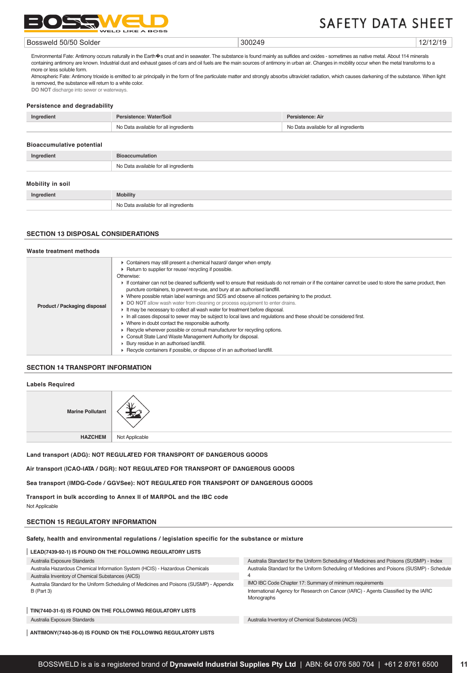

#### Bossweld 50/50 Solder 300249 2012/12/19 300249

Environmental Fate: Antimony occurs naturally in the Earth Os crust and in seawater. The substance is found mainly as sulfides and oxides - sometimes as native metal. About 114 minerals containing antimony are known. Industrial dust and exhaust gases of cars and oil fuels are the main sources of antimony in urban air. Changes in mobility occur when the metal transforms to a more or less soluble form.

Atmospheric Fate: Antimony trioxide is emitted to air principally in the form of fine particulate matter and strongly absorbs ultraviolet radiation, which causes darkening of the substance. When light is removed, the substance will return to a white color.

**DO NOT** discharge into sewer or waterways.

#### **Persistence and degradability**

| Ingredient | Persistence: Water/Soil               | Persistence: Air                      |
|------------|---------------------------------------|---------------------------------------|
|            | No Data available for all ingredients | No Data available for all ingredients |
|            |                                       |                                       |

#### **Bioaccumulative potential**

| Ingredient       | <b>Bioaccumulation</b>                |  |
|------------------|---------------------------------------|--|
|                  | No Data available for all ingredients |  |
| Mobility in soil |                                       |  |
| Ingredient       | <b>Mobility</b>                       |  |
|                  | No Data available for all ingredients |  |

# **SECTION 13 DISPOSAL CONSIDERATIONS**

# **Waste treatment methods**

| Product / Packaging disposal | • Containers may still present a chemical hazard/danger when empty.<br>▶ Return to supplier for reuse/ recycling if possible.<br>Otherwise:<br>If container can not be cleaned sufficiently well to ensure that residuals do not remain or if the container cannot be used to store the same product, then<br>puncture containers, to prevent re-use, and bury at an authorised landfill.<br>• Where possible retain label warnings and SDS and observe all notices pertaining to the product.<br>DO NOT allow wash water from cleaning or process equipment to enter drains.<br>It may be necessary to collect all wash water for treatment before disposal.<br>In all cases disposal to sewer may be subject to local laws and regulations and these should be considered first.<br>• Where in doubt contact the responsible authority.<br>► Recycle wherever possible or consult manufacturer for recycling options.<br>Consult State Land Waste Management Authority for disposal.<br>▶ Bury residue in an authorised landfill.<br>▶ Recycle containers if possible, or dispose of in an authorised landfill. |
|------------------------------|-------------------------------------------------------------------------------------------------------------------------------------------------------------------------------------------------------------------------------------------------------------------------------------------------------------------------------------------------------------------------------------------------------------------------------------------------------------------------------------------------------------------------------------------------------------------------------------------------------------------------------------------------------------------------------------------------------------------------------------------------------------------------------------------------------------------------------------------------------------------------------------------------------------------------------------------------------------------------------------------------------------------------------------------------------------------------------------------------------------------|

## **SECTION 14 TRANSPORT INFORMATION**

#### **Labels Required**

| <b>Marine Pollutant</b> |                |
|-------------------------|----------------|
| <b>HAZCHEM</b>          | Not Applicable |

**Land transport (ADG): NOT REGULATED FOR TRANSPORT OF DANGEROUS GOODS**

**Air transport (ICAO-IATA / DGR): NOT REGULATED FOR TRANSPORT OF DANGEROUS GOODS**

**Sea transport (IMDG-Code / GGVSee): NOT REGULATED FOR TRANSPORT OF DANGEROUS GOODS**

**Transport in bulk according to Annex II of MARPOL and the IBC code** Not Applicable

# **SECTION 15 REGULATORY INFORMATION**

# **Safety, health and environmental regulations / legislation specific for the substance or mixture**

# **LEAD(7439-92-1) IS FOUND ON THE FOLLOWING REGULATORY LISTS**

Australia Exposure Standards

Australia Hazardous Chemical Information System (HCIS) - Hazardous Chemicals Australia Inventory of Chemical Substances (AICS)

| Australia Inventory of Chemical Substances (AICS)                                         |
|-------------------------------------------------------------------------------------------|
| Australia Standard for the Uniform Scheduling of Medicines and Poisons (SUSMP) - Appendix |
| B (Part 3)                                                                                |

Australia Standard for the Uniform Scheduling of Medicines and Poisons (SUSMP) - Schedule 4 IMO IBC Code Chapter 17: Summary of minimum requirements International Agency for Research on Cancer (IARC) - Agents Classified by the IARC

Australia Standard for the Uniform Scheduling of Medicines and Poisons (SUSMP) - Index

**TIN(7440-31-5) IS FOUND ON THE FOLLOWING REGULATORY LISTS** Australia Exposure Standards Australia Inventory of Chemical Substances (AICS)

**ANTIMONY(7440-36-0) IS FOUND ON THE FOLLOWING REGULATORY LISTS**

Monographs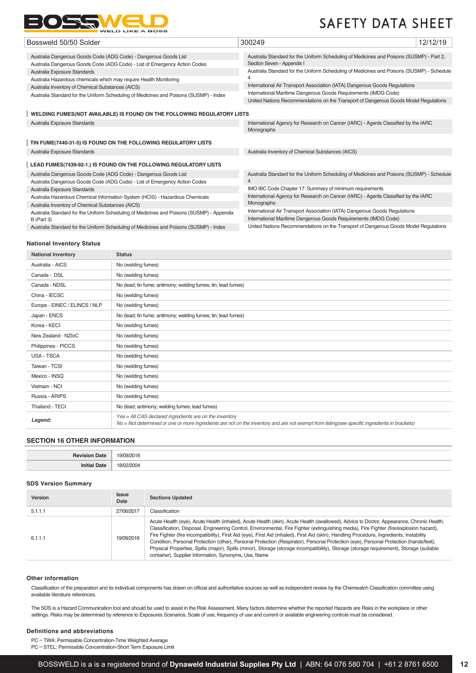

| Bossweld 50/50 Solder                                                                                                                          | 300249                                                                                                                                                                                                                                | 12/12/19 |
|------------------------------------------------------------------------------------------------------------------------------------------------|---------------------------------------------------------------------------------------------------------------------------------------------------------------------------------------------------------------------------------------|----------|
| Australia Dangerous Goods Code (ADG Code) - Dangerous Goods List<br>Australia Dangerous Goods Code (ADG Code) - List of Emergency Action Codes | Australia Standard for the Uniform Scheduling of Medicines and Poisons (SUSMP) - Part 2,<br>Section Seven - Appendix I                                                                                                                |          |
| Australia Exposure Standards<br>Australia Hazardous chemicals which may require Health Monitoring                                              | Australia Standard for the Uniform Scheduling of Medicines and Poisons (SUSMP) - Schedule                                                                                                                                             |          |
| Australia Inventory of Chemical Substances (AICS)<br>Australia Standard for the Uniform Scheduling of Medicines and Poisons (SUSMP) - Index    | International Air Transport Association (IATA) Dangerous Goods Regulations<br>International Maritime Dangerous Goods Requirements (IMDG Code)<br>United Nations Recommendations on the Transport of Dangerous Goods Model Regulations |          |
| WELDING FUMES(NOT AVAILABLE) IS FOUND ON THE FOLLOWING REGULATORY LISTS                                                                        |                                                                                                                                                                                                                                       |          |
| Australia Exposure Standards                                                                                                                   | International Agency for Research on Cancer (IARC) - Agents Classified by the IARC<br>Monographs                                                                                                                                      |          |
| TIN FUME(7440-31-5) IS FOUND ON THE FOLLOWING REGULATORY LISTS                                                                                 |                                                                                                                                                                                                                                       |          |
| Australia Exposure Standards                                                                                                                   | Australia Inventory of Chemical Substances (AICS)                                                                                                                                                                                     |          |
| LEAD FUMES(7439-92-1.) IS FOUND ON THE FOLLOWING REGULATORY LISTS                                                                              |                                                                                                                                                                                                                                       |          |
| Australia Dangerous Goods Code (ADG Code) - Dangerous Goods List<br>Australia Dangerous Goods Code (ADG Code) - List of Emergency Action Codes | Australia Standard for the Uniform Scheduling of Medicines and Poisons (SUSMP) - Schedule<br>4                                                                                                                                        |          |
| Australia Exposure Standards                                                                                                                   | IMO IBC Code Chapter 17: Summary of minimum requirements                                                                                                                                                                              |          |
| Australia Hazardous Chemical Information System (HCIS) - Hazardous Chemicals<br>Australia Inventory of Chemical Substances (AICS)              | International Agency for Research on Cancer (IARC) - Agents Classified by the IARC<br>Monographs                                                                                                                                      |          |
| Australia Standard for the Uniform Scheduling of Medicines and Poisons (SUSMP) - Appendix<br>$B$ (Part 3)                                      | International Air Transport Association (IATA) Dangerous Goods Regulations<br>International Maritime Dangerous Goods Requirements (IMDG Code)                                                                                         |          |
| Australia Standard for the Uniform Scheduling of Medicines and Poisons (SUSMP) - Index                                                         | United Nations Recommendations on the Transport of Dangerous Goods Model Regulations                                                                                                                                                  |          |

#### **National Inventory Status**

| <b>National Inventory</b>     | <b>Status</b>                                                                                                                                                                                            |
|-------------------------------|----------------------------------------------------------------------------------------------------------------------------------------------------------------------------------------------------------|
| Australia - AICS              | No (welding fumes)                                                                                                                                                                                       |
| Canada - DSL                  | No (welding fumes)                                                                                                                                                                                       |
| Canada - NDSL                 | No (lead; tin fume; antimony; welding fumes; tin; lead fumes)                                                                                                                                            |
| China - IECSC                 | No (welding fumes)                                                                                                                                                                                       |
| Europe - EINEC / ELINCS / NLP | No (welding fumes)                                                                                                                                                                                       |
| Japan - ENCS                  | No (lead; tin fume; antimony; welding fumes; tin; lead fumes)                                                                                                                                            |
| Korea - KECI                  | No (welding fumes)                                                                                                                                                                                       |
| New Zealand - NZIoC           | No (welding fumes)                                                                                                                                                                                       |
| Philippines - PICCS           | No (welding fumes)                                                                                                                                                                                       |
| <b>USA - TSCA</b>             | No (welding fumes)                                                                                                                                                                                       |
| Taiwan - TCSI                 | No (welding fumes)                                                                                                                                                                                       |
| Mexico - INSQ                 | No (welding fumes)                                                                                                                                                                                       |
| Vietnam - NCI                 | No (welding fumes)                                                                                                                                                                                       |
| Russia - ARIPS                | No (welding fumes)                                                                                                                                                                                       |
| Thailand - TECI               | No (lead; antimony; welding fumes; lead fumes)                                                                                                                                                           |
| Legend:                       | Yes = All CAS declared ingredients are on the inventory<br>No = Not determined or one or more ingredients are not on the inventory and are not exempt from listing(see specific ingredients in brackets) |

## **SECTION 16 OTHER INFORMATION**

| Pavieio<br><b>MOTE</b><br>ац        | 1۵۸<br>118<br>ı.<br>. |
|-------------------------------------|-----------------------|
| ют                                  |                       |
| and the contract of the contract of | 181                   |
| the contract of the contract of the |                       |

#### **SDS Version Summary**

| Version | <b>Issue</b><br>Date | <b>Sections Updated</b>                                                                                                                                                                                                                                                                                                                                                                                                                                                                                                                                                                                                                                                                                                                                                         |
|---------|----------------------|---------------------------------------------------------------------------------------------------------------------------------------------------------------------------------------------------------------------------------------------------------------------------------------------------------------------------------------------------------------------------------------------------------------------------------------------------------------------------------------------------------------------------------------------------------------------------------------------------------------------------------------------------------------------------------------------------------------------------------------------------------------------------------|
| 5.1.1.1 | 27/06/2017           | Classification                                                                                                                                                                                                                                                                                                                                                                                                                                                                                                                                                                                                                                                                                                                                                                  |
| 6.1.1.1 | 19/09/2018           | Acute Health (eye), Acute Health (inhaled), Acute Health (skin), Acute Health (swallowed), Advice to Doctor, Appearance, Chronic Health,<br>Classification, Disposal, Engineering Control, Environmental, Fire Fighter (extinguishing media), Fire Fighter (fire/explosion hazard),<br>Fire Fighter (fire incompatibility), First Aid (eye), First Aid (inhaled), First Aid (skin), Handling Procedure, Ingredients, Instability<br>Condition, Personal Protection (other), Personal Protection (Respirator), Personal Protection (eye), Personal Protection (hands/feet),<br>Physical Properties, Spills (major), Spills (minor), Storage (storage incompatibility), Storage (storage requirement), Storage (suitable<br>container), Supplier Information, Synonyms, Use, Name |

#### **Other information**

Classification of the preparation and its individual components has drawn on official and authoritative sources as well as independent review by the Chemwatch Classification committee using available literature references.

The SDS is a Hazard Communication tool and should be used to assist in the Risk Assessment. Many factors determine whether the reported Hazards are Risks in the workplace or other settings. Risks may be determined by reference to Exposures Scenarios. Scale of use, frequency of use and current or available engineering controls must be considered.

#### **Definitions and abbreviations**

PC-TWA: Permissible Concentration-Time Weighted Average

PC-STEL: Permissible Concentration-Short Term Exposure Limit